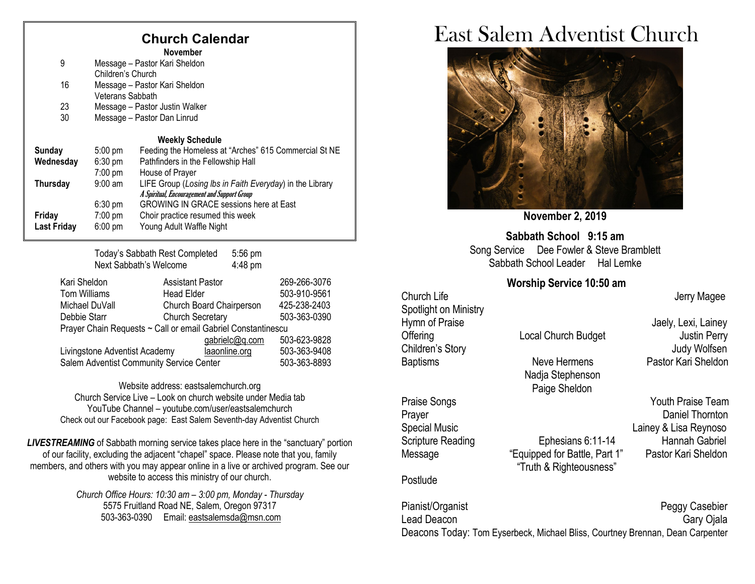# **Church Calendar**

**November**

| 9                  | Message - Pastor Kari Sheldon<br>Children's Church |                                                          |  |  |
|--------------------|----------------------------------------------------|----------------------------------------------------------|--|--|
|                    |                                                    |                                                          |  |  |
| 16                 | Message - Pastor Kari Sheldon                      |                                                          |  |  |
|                    | Veterans Sabbath                                   |                                                          |  |  |
| 23                 | Message - Pastor Justin Walker                     |                                                          |  |  |
| 30                 | Message - Pastor Dan Linrud                        |                                                          |  |  |
|                    |                                                    |                                                          |  |  |
|                    |                                                    | <b>Weekly Schedule</b>                                   |  |  |
| <b>Sunday</b>      | $5:00 \text{ pm}$                                  | Feeding the Homeless at "Arches" 615 Commercial St NE    |  |  |
| Wednesday          | $6:30$ pm                                          | Pathfinders in the Fellowship Hall                       |  |  |
|                    | $7:00 \text{ pm}$                                  | House of Prayer                                          |  |  |
| Thursday           | $9:00$ am                                          | LIFE Group (Losing Ibs in Faith Everyday) in the Library |  |  |
|                    |                                                    | A Spiritual, Encouragement and Support Group             |  |  |
|                    | $6:30 \text{ pm}$                                  | <b>GROWING IN GRACE sessions here at East</b>            |  |  |
|                    |                                                    |                                                          |  |  |
| Friday             | $7:00 \text{ pm}$                                  | Choir practice resumed this week                         |  |  |
| <b>Last Friday</b> | $6:00 \text{ pm}$                                  | Young Adult Waffle Night                                 |  |  |
|                    |                                                    |                                                          |  |  |

Today's Sabbath Rest Completed 5:56 pm Next Sabbath's Welcome 4:48 pm

| Kari Sheldon                                                 | <b>Assistant Pastor</b>  | 269-266-3076 |  |  |  |  |
|--------------------------------------------------------------|--------------------------|--------------|--|--|--|--|
| Tom Williams                                                 | <b>Head Elder</b>        | 503-910-9561 |  |  |  |  |
| Michael DuVall                                               | Church Board Chairperson | 425-238-2403 |  |  |  |  |
| Debbie Starr                                                 | <b>Church Secretary</b>  | 503-363-0390 |  |  |  |  |
| Prayer Chain Requests ~ Call or email Gabriel Constantinescu |                          |              |  |  |  |  |
|                                                              | gabrielc@q.com           | 503-623-9828 |  |  |  |  |
| Livingstone Adventist Academy                                | laaonline.org            | 503-363-9408 |  |  |  |  |
| Salem Adventist Community Service Center                     | 503-363-8893             |              |  |  |  |  |

Website address[: eastsalemchurch.org](http://eastsalem.adventists.info/) Church Service Live – Look on church website under Media tab YouTube Channel – youtube.com/user/eastsalemchurch Check out our Facebook page: East Salem Seventh-day Adventist Church

**LIVESTREAMING** of Sabbath morning service takes place here in the "sanctuary" portion of our facility, excluding the adjacent "chapel" space. Please note that you, family members, and others with you may appear online in a live or archived program. See our website to access this ministry of our church.

> *Church Office Hours: 10:30 am – 3:00 pm, Monday - Thursday* 5575 Fruitland Road NE, Salem, Oregon 97317 503-363-0390 Email: [eastsalemsda@msn.com](mailto:eastsalemsda@msn.com)

# East Salem Adventist Church



**November 2, 2019**

**Sabbath School 9:15 am** Song Service Dee Fowler & Steve Bramblett Sabbath School Leader Hal Lemke

### **Worship Service 10:50 am**

Church Life **Church Life** Jerry Magee Spotlight on Ministry Hymn of Praise **Hymn** of Praise Jaely, Lexi, Lainey Offering Local Church Budget Justin Perry Children's Story **Grand Children's Story Judy Wolfsen** Baptisms Neve Hermens Pastor Kari Sheldon Nadja Stephenson Paige Sheldon Praise Songs **The Contract Solution Contract Songs** Youth Praise Team

Message "Equipped for Battle, Part 1"

### **Postlude**

Pianist/Organist **Property** Peggy Casebier Lead Deacon Gary Ojala Deacons Today: Tom Eyserbeck, Michael Bliss, Courtney Brennan, Dean Carpenter

"Truth & Righteousness"

Prayer **Daniel Thornton** Special Music **Contract Contract Contract Contract Contract Contract Contract Contract Contract Contract Contract Contract Contract Contract Contract Contract Contract Contract Contract Contract Contract Contract Contract** Scripture Reading<br>
Ephesians 6:11-14 Hannah Gabriel<br>
Message "Equipped for Battle Part 1" Pastor Kari Sheldon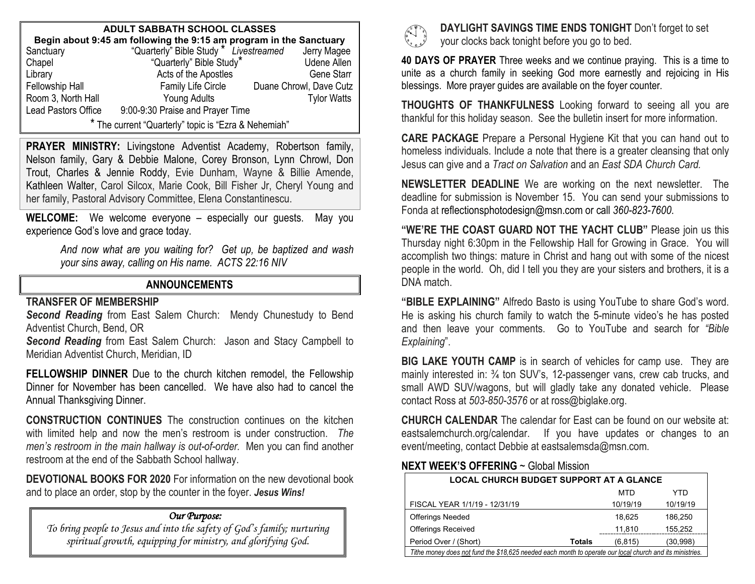| <b>ADULT SABBATH SCHOOL CLASSES</b>                                                                                                      |                                  |  |                         |  |  |  |  |
|------------------------------------------------------------------------------------------------------------------------------------------|----------------------------------|--|-------------------------|--|--|--|--|
| <b>Begin about 9:45 am following the 9:15 am program in the Sanctuary</b><br>anctuary "Quarterly" Bible Study * Livestreamed Jerry Magee |                                  |  |                         |  |  |  |  |
| Sanctuary                                                                                                                                |                                  |  |                         |  |  |  |  |
| Chapel                                                                                                                                   | "Quarterly" Bible Study*         |  | <b>Udene Allen</b>      |  |  |  |  |
| Library                                                                                                                                  | Acts of the Apostles             |  | Gene Starr              |  |  |  |  |
| Fellowship Hall                                                                                                                          | Family Life Circle               |  | Duane Chrowl, Dave Cutz |  |  |  |  |
| Room 3, North Hall                                                                                                                       | Young Adults                     |  | <b>Tylor Watts</b>      |  |  |  |  |
| Lead Pastors Office                                                                                                                      | 9:00-9:30 Praise and Prayer Time |  |                         |  |  |  |  |
| * The current "Quarterly" topic is "Ezra & Nehemiah"                                                                                     |                                  |  |                         |  |  |  |  |

**PRAYER MINISTRY:** Livingstone Adventist Academy, Robertson family, Nelson family, Gary & Debbie Malone, Corey Bronson, Lynn Chrowl, Don Trout, Charles & Jennie Roddy, Evie Dunham, Wayne & Billie Amende, Kathleen Walter, Carol Silcox, Marie Cook, Bill Fisher Jr, Cheryl Young and her family, Pastoral Advisory Committee, Elena Constantinescu.

**WELCOME:** We welcome everyone – especially our guests. May you experience God's love and grace today.

> *And now what are you waiting for? Get up, be baptized and wash your sins away, calling on His name. ACTS 22:16 NIV*

## **ANNOUNCEMENTS**

#### **TRANSFER OF MEMBERSHIP**

*Second Reading* from East Salem Church: Mendy Chunestudy to Bend Adventist Church, Bend, OR

*Second Reading* from East Salem Church: Jason and Stacy Campbell to Meridian Adventist Church, Meridian, ID

**FELLOWSHIP DINNER** Due to the church kitchen remodel, the Fellowship Dinner for November has been cancelled. We have also had to cancel the Annual Thanksgiving Dinner.

**CONSTRUCTION CONTINUES** The construction continues on the kitchen with limited help and now the men's restroom is under construction. *The men's restroom in the main hallway is out-of-order.* Men you can find another restroom at the end of the Sabbath School hallway.

**DEVOTIONAL BOOKS FOR 2020** For information on the new devotional book and to place an order, stop by the counter in the foyer. *Jesus Wins!*

## *Our Purpose:*

*To bring people to Jesus and into the safety of God's family; nurturing spiritual growth, equipping for ministry, and glorifying God.*



 **DAYLIGHT SAVINGS TIME ENDS TONIGHT** Don't forget to set your clocks back tonight before you go to bed.

**40 DAYS OF PRAYER** Three weeks and we continue praying. This is a time to unite as a church family in seeking God more earnestly and rejoicing in His blessings. More prayer guides are available on the foyer counter.

**THOUGHTS OF THANKFULNESS** Looking forward to seeing all you are thankful for this holiday season. See the bulletin insert for more information.

**CARE PACKAGE** Prepare a Personal Hygiene Kit that you can hand out to homeless individuals. Include a note that there is a greater cleansing that only Jesus can give and a *Tract on Salvation* and an *East SDA Church Card.*

**NEWSLETTER DEADLINE** We are working on the next newsletter. The deadline for submission is November 15. You can send your submissions to Fonda at [reflectionsphotodesign@msn.com](mailto:reflectionsphotodesign@msn.com) or call *360-823-7600*.

**"WE'RE THE COAST GUARD NOT THE YACHT CLUB"** Please join us this Thursday night 6:30pm in the Fellowship Hall for Growing in Grace. You will accomplish two things: mature in Christ and hang out with some of the nicest people in the world. Oh, did I tell you they are your sisters and brothers, it is a DNA match.

**"BIBLE EXPLAINING"** Alfredo Basto is using YouTube to share God's word. He is asking his church family to watch the 5-minute video's he has posted and then leave your comments. Go to YouTube and search for *"Bible Explaining*".

**BIG LAKE YOUTH CAMP** is in search of vehicles for camp use. They are mainly interested in: ¾ ton SUV's, 12-passenger vans, crew cab trucks, and small AWD SUV/wagons, but will gladly take any donated vehicle. Please contact Ross at *503-850-3576* or at ross@biglake.org.

**CHURCH CALENDAR** The calendar for East can be found on our website at: eastsalemchurch.org/calendar. If you have updates or changes to an event/meeting, contact Debbie at eastsalemsda@msn.com.

### **NEXT WEEK'S OFFERING** ~ Global Mission

| <b>LOCAL CHURCH BUDGET SUPPORT AT A GLANCE</b>                                                           |        |          |          |  |  |  |
|----------------------------------------------------------------------------------------------------------|--------|----------|----------|--|--|--|
|                                                                                                          |        | MTD      | YTD      |  |  |  |
| FISCAL YEAR 1/1/19 - 12/31/19                                                                            |        | 10/19/19 | 10/19/19 |  |  |  |
| <b>Offerings Needed</b>                                                                                  |        | 18.625   | 186.250  |  |  |  |
| <b>Offerings Received</b>                                                                                |        | 11,810   | 155.252  |  |  |  |
| Period Over / (Short)                                                                                    | Totals | (6.815)  | (30,998) |  |  |  |
| Tithe money does not fund the \$18,625 needed each month to operate our local church and its ministries. |        |          |          |  |  |  |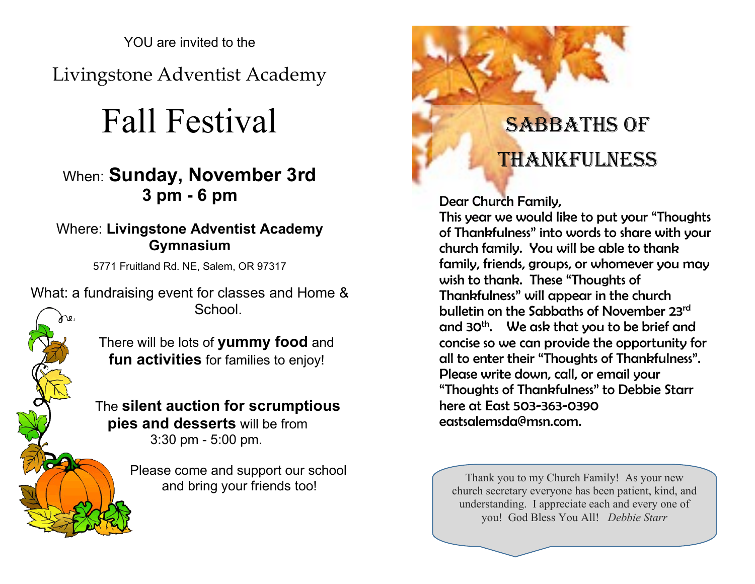YOU are invited to the

Livingstone Adventist Academy

# Fall Festival

# When: **Sunday, November 3rd 3 pm - 6 pm**

# Where: **Livingstone Adventist Academy Gymnasium**

5771 Fruitland Rd. NE, Salem, OR 97317

What: a fundraising event for classes and Home & School.

> There will be lots of **yummy food** and **fun activities** for families to enjoy!

The **silent auction for scrumptious pies and desserts** will be from 3:30 pm - 5:00 pm.

Please come and support our school



Dear Church Family,

This year we would like to put your "Thoughts of Thankfulness" into words to share with your church family. You will be able to thank family, friends, groups, or whomever you may wish to thank. These "Thoughts of Thankfulness" will appear in the church bulletin on the Sabbaths of November 23rd and 30<sup>th</sup>. We ask that you to be brief and concise so we can provide the opportunity for all to enter their "Thoughts of Thankfulness". Please write down, call, or email your "Thoughts of Thankfulness" to Debbie Starr here at East 503-363-0390 [eastsalemsda@msn.com.](mailto:eastsalemsda@msn.com)

and bring your friends too!<br> $\int_{0}^{\frac{\pi}{2}}$  Thank you to my Church Family! As your new church secretary everyone has been patient, kind, and understanding. I appreciate each and every one of you! God Bless You All! *Debbie Starr*